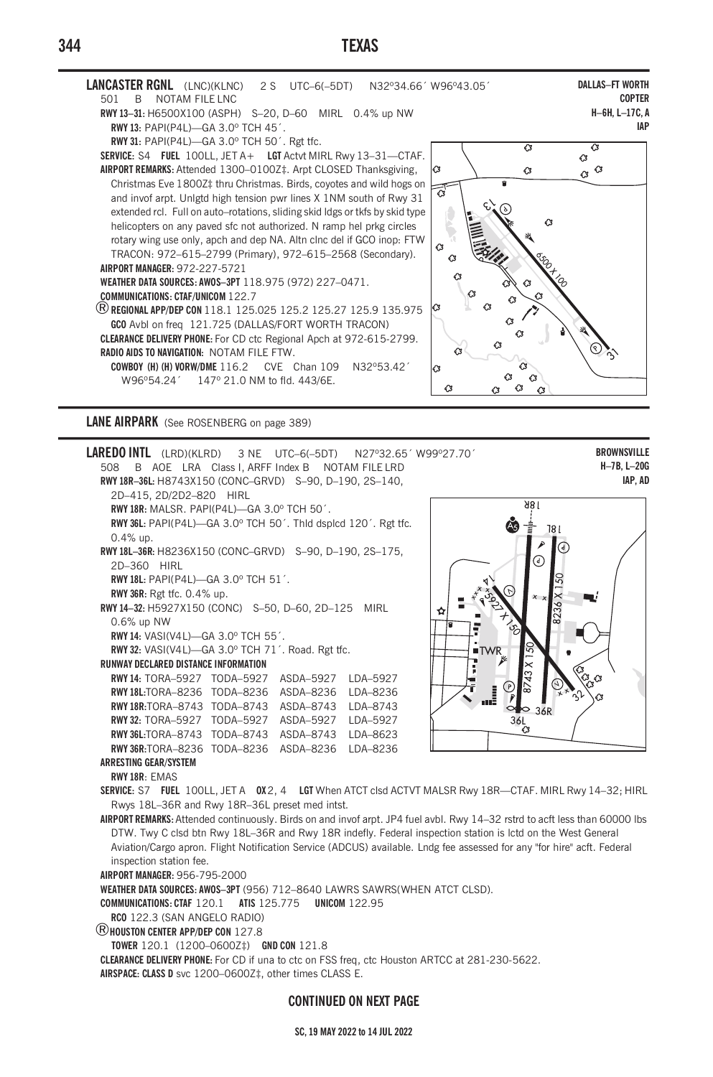# **TEXAS**



## **LANE AIRPARK** (See ROSENBERG on page 389)

**BROWNSVILLE LAREDO INTL** (LRD)(KLRD) 3 NE UTC-6(-5DT) N27°32.65' W99°27.70' H-7B, L-20G 508 B AOE LRA Class I. ARFF Index B NOTAM FILE LRD IAP. AD RWY 18R-36L: H8743X150 (CONC-GRVD) S-90, D-190, 2S-140, 2D-415, 2D/2D2-820 HIRL 186 RWY 18R: MALSR. PAPI(P4L)-GA 3.0° TCH 50'. RWY 36L: PAPI(P4L)-GA 3.0° TCH 50'. Thid dspicd 120'. Rgt tfc. ۵à 181  $0.4\%$  up. RWY 18L-36R: H8236X150 (CONC-GRVD) S-90, D-190, 2S-175, 2D-360 HIRL RWY 18L: PAPI(P4L)-GA 3.0° TCH 51'. RWY 36R: Rgt tfc. 0.4% up. RWY 14-32: H5927X150 (CONC) S-50, D-60, 2D-125 MIRL Ó 0.6% up NW RWY 14: VASI(V4L)-GA 3.0° TCH 55'. RWY 32: VASI(V41)-GA 3.0° TCH 71'. Road. Rgt ffc. r **RUNWAY DECLARED DISTANCE INFORMATION** Ţ RWY 14: TORA-5927 TODA-5927 ASDA-5927 LDA-5927 RWY 18L:TORA-8236 TODA-8236 ASDA-8236 LDA-8236 RWY 18R:TORA-8743 TODA-8743 ASDA-8743 LDA-8743 RWY 32: TORA-5927 TODA-5927 ASDA-5927 LDA-5927 36l Ω RWY 36L:TORA-8743 TODA-8743 ASDA-8743 LDA-8623 RWY 36R:TORA-8236 TODA-8236 ASDA-8236 LDA-8236 **ARRESTING GEAR/SYSTEM** RWY 18R: FMAS SERVICE: S7 FUEL 100LL, JET A 0X2, 4 LGT When ATCT clsd ACTVT MALSR Rwy 18R-CTAF. MIRL Rwy 14-32; HIRL Rwys 18L-36R and Rwy 18R-36L preset med intst. AIRPORT REMARKS: Attended continuously. Birds on and invof arpt. JP4 fuel avbl. Rwy 14-32 rstrd to acft less than 60000 lbs DTW. Twy C clsd btn Rwy 18L-36R and Rwy 18R indefly. Federal inspection station is lctd on the West General Aviation/Cargo apron. Flight Notification Service (ADCUS) available. Lndg fee assessed for any "for hire" acft. Federal inspection station fee. AIRPORT MANAGER: 956-795-2000 WEATHER DATA SOURCES: AWOS-3PT (956) 712-8640 LAWRS SAWRS(WHEN ATCT CLSD). COMMUNICATIONS: CTAF 120.1 ATIS 125.775 UNICOM 122.95 RCO 122 3 (SAN ANGELO RADIO)

**R**HOUSTON CENTER APP/DEP CON 127.8

TOWER 120.1 (1200-0600Z#) GND CON 121.8

CLEARANCE DELIVERY PHONE: For CD if una to ctc on FSS freq, ctc Houston ARTCC at 281-230-5622. AIRSPACE: CLASS D svc 1200-0600Z‡, other times CLASS E.

### **CONTINUED ON NEXT PAGE**

#### SC, 19 MAY 2022 to 14 JUL 2022

344